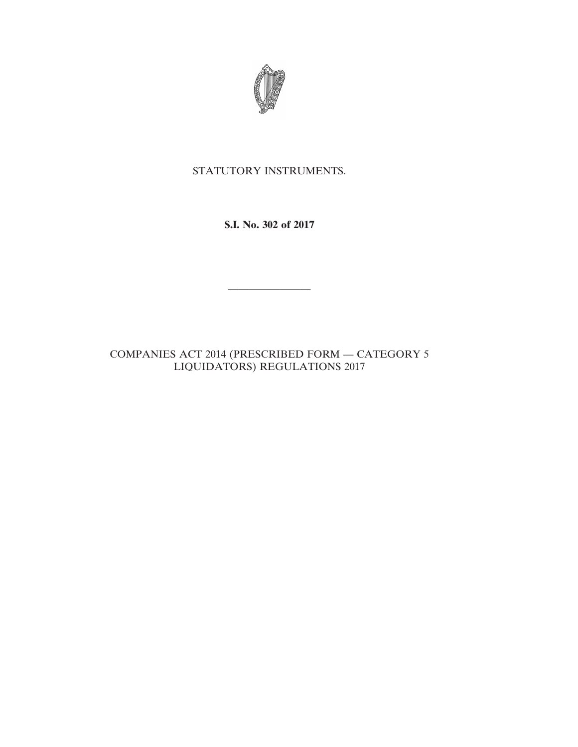

# STATUTORY INSTRUMENTS.

**S.I. No. 302 of 2017**

————————

COMPANIES ACT 2014 (PRESCRIBED FORM — CATEGORY 5 LIQUIDATORS) REGULATIONS 2017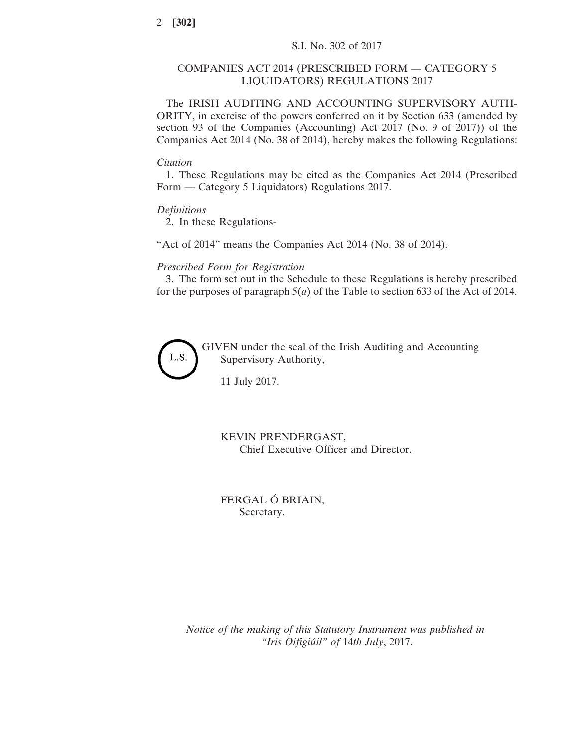# COMPANIES ACT 2014 (PRESCRIBED FORM — CATEGORY 5 LIQUIDATORS) REGULATIONS 2017

The IRISH AUDITING AND ACCOUNTING SUPERVISORY AUTH-ORITY, in exercise of the powers conferred on it by Section 633 (amended by section 93 of the Companies (Accounting) Act 2017 (No. 9 of 2017)) of the Companies Act 2014 (No. 38 of 2014), hereby makes the following Regulations:

#### *Citation*

1. These Regulations may be cited as the Companies Act 2014 (Prescribed Form — Category 5 Liquidators) Regulations 2017.

# *Definitions*

2. In these Regulations-

"Act of 2014" means the Companies Act 2014 (No. 38 of 2014).

#### *Prescribed Form for Registration*

3. The form set out in the Schedule to these Regulations is hereby prescribed for the purposes of paragraph 5(*a*) of the Table to section 633 of the Act of 2014.



GIVEN under the seal of the Irish Auditing and Accounting Supervisory Authority,

11 July 2017.

# KEVIN PRENDERGAST, Chief Executive Officer and Director.

FERGAL Ó BRIAIN, Secretary.

*Notice of the making of this Statutory Instrument was published in "Iris Oifigiúil" of* 14*th July*, 2017.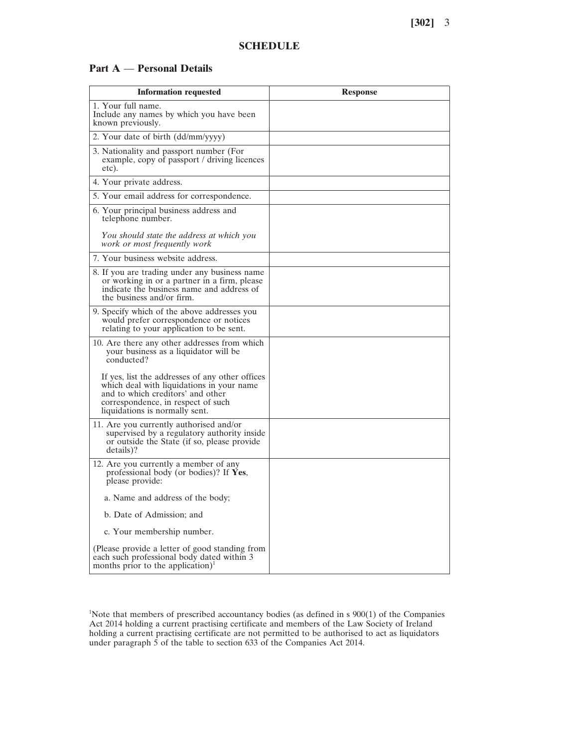#### **SCHEDULE**

# **Part A** — **Personal Details**

| <b>Information requested</b>                                                                                                                                                                              | <b>Response</b> |
|-----------------------------------------------------------------------------------------------------------------------------------------------------------------------------------------------------------|-----------------|
| 1. Your full name.<br>Include any names by which you have been<br>known previously.                                                                                                                       |                 |
| 2. Your date of birth (dd/mm/yyyy)                                                                                                                                                                        |                 |
| 3. Nationality and passport number (For<br>example, copy of passport / driving licences<br>etc).                                                                                                          |                 |
| 4. Your private address.                                                                                                                                                                                  |                 |
| 5. Your email address for correspondence.                                                                                                                                                                 |                 |
| 6. Your principal business address and<br>telephone number.                                                                                                                                               |                 |
| You should state the address at which you<br>work or most frequently work                                                                                                                                 |                 |
| 7. Your business website address.                                                                                                                                                                         |                 |
| 8. If you are trading under any business name<br>or working in or a partner in a firm, please<br>indicate the business name and address of<br>the business and/or firm.                                   |                 |
| 9. Specify which of the above addresses you<br>would prefer correspondence or notices<br>relating to your application to be sent.                                                                         |                 |
| 10. Are there any other addresses from which<br>your business as a liquidator will be<br>conducted?                                                                                                       |                 |
| If yes, list the addresses of any other offices<br>which deal with liquidations in your name<br>and to which creditors' and other<br>correspondence, in respect of such<br>liquidations is normally sent. |                 |
| 11. Are you currently authorised and/or<br>supervised by a regulatory authority inside<br>or outside the State (if so, please provide<br>details)?                                                        |                 |
| 12. Are you currently a member of any<br>professional body (or bodies)? If Yes,<br>please provide:                                                                                                        |                 |
| a. Name and address of the body;                                                                                                                                                                          |                 |
| b. Date of Admission; and                                                                                                                                                                                 |                 |
| c. Your membership number.                                                                                                                                                                                |                 |
| (Please provide a letter of good standing from<br>each such professional body dated within 3<br>months prior to the application) <sup>1</sup>                                                             |                 |

1 Note that members of prescribed accountancy bodies (as defined in s 900(1) of the Companies Act 2014 holding a current practising certificate and members of the Law Society of Ireland holding a current practising certificate are not permitted to be authorised to act as liquidators under paragraph 5 of the table to section 633 of the Companies Act 2014.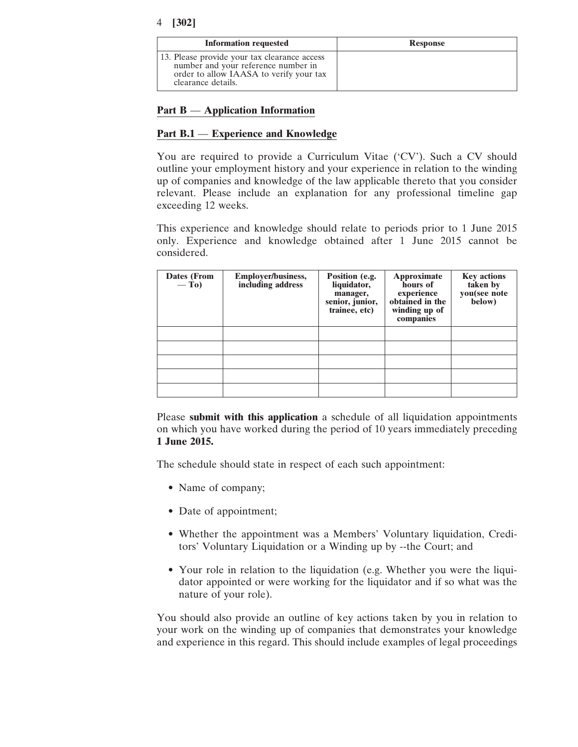| <b>Information requested</b>                                                                                                                         | <b>Response</b> |
|------------------------------------------------------------------------------------------------------------------------------------------------------|-----------------|
| 13. Please provide your tax clearance access<br>number and your reference number in<br>order to allow IAASA to verify your tax<br>clearance details. |                 |

# **Part B** — **Application Information**

# **Part B.1** — **Experience and Knowledge**

You are required to provide a Curriculum Vitae ('CV'). Such a CV should outline your employment history and your experience in relation to the winding up of companies and knowledge of the law applicable thereto that you consider relevant. Please include an explanation for any professional timeline gap exceeding 12 weeks.

This experience and knowledge should relate to periods prior to 1 June 2015 only. Experience and knowledge obtained after 1 June 2015 cannot be considered.

| Dates (From<br>$-\mathbf{To}$ | <b>Employer/business,</b><br>including address | Position (e.g.<br>liquidator,<br>manager,<br>senior, junior,<br>trainee, etc) | Approximate<br>hours of<br>experience<br>obtained in the<br>winding up of<br>companies | <b>Key actions</b><br>taken by<br>you(see note<br>below) |
|-------------------------------|------------------------------------------------|-------------------------------------------------------------------------------|----------------------------------------------------------------------------------------|----------------------------------------------------------|
|                               |                                                |                                                                               |                                                                                        |                                                          |
|                               |                                                |                                                                               |                                                                                        |                                                          |
|                               |                                                |                                                                               |                                                                                        |                                                          |
|                               |                                                |                                                                               |                                                                                        |                                                          |
|                               |                                                |                                                                               |                                                                                        |                                                          |

Please **submit with this application** a schedule of all liquidation appointments on which you have worked during the period of 10 years immediately preceding **1 June 2015.**

The schedule should state in respect of each such appointment:

- Name of company;
- Date of appointment;
- Whether the appointment was a Members' Voluntary liquidation, Creditors' Voluntary Liquidation or a Winding up by --the Court; and
- Your role in relation to the liquidation (e.g. Whether you were the liquidator appointed or were working for the liquidator and if so what was the nature of your role).

You should also provide an outline of key actions taken by you in relation to your work on the winding up of companies that demonstrates your knowledge and experience in this regard. This should include examples of legal proceedings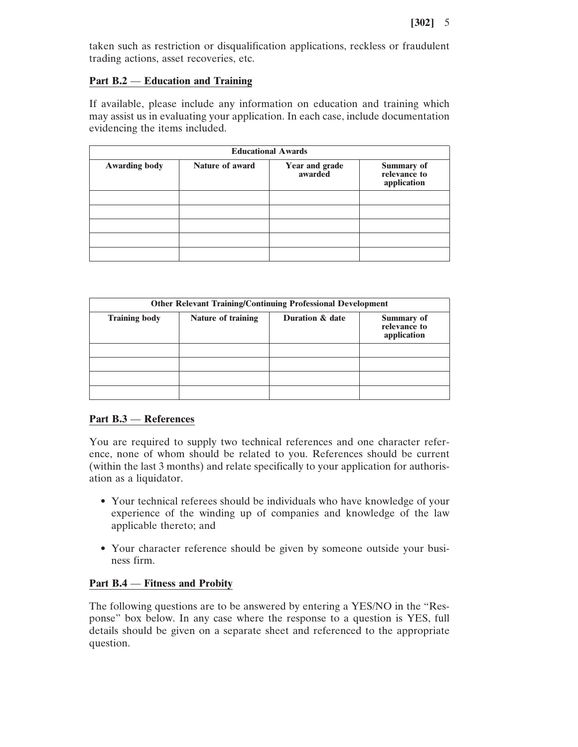taken such as restriction or disqualification applications, reckless or fraudulent trading actions, asset recoveries, etc.

# **Part B.2** — **Education and Training**

If available, please include any information on education and training which may assist us in evaluating your application. In each case, include documentation evidencing the items included.

| <b>Educational Awards</b> |                        |                           |                                                   |
|---------------------------|------------------------|---------------------------|---------------------------------------------------|
| <b>Awarding body</b>      | <b>Nature of award</b> | Year and grade<br>awarded | <b>Summary of<br/>relevance to</b><br>application |
|                           |                        |                           |                                                   |
|                           |                        |                           |                                                   |
|                           |                        |                           |                                                   |
|                           |                        |                           |                                                   |
|                           |                        |                           |                                                   |

| <b>Other Relevant Training/Continuing Professional Development</b> |                    |                 |                                                  |
|--------------------------------------------------------------------|--------------------|-----------------|--------------------------------------------------|
| <b>Training body</b>                                               | Nature of training | Duration & date | <b>Summary of</b><br>relevance to<br>application |
|                                                                    |                    |                 |                                                  |
|                                                                    |                    |                 |                                                  |
|                                                                    |                    |                 |                                                  |
|                                                                    |                    |                 |                                                  |

# **Part B.3** — **References**

You are required to supply two technical references and one character reference, none of whom should be related to you. References should be current (within the last 3 months) and relate specifically to your application for authorisation as a liquidator.

- Your technical referees should be individuals who have knowledge of your experience of the winding up of companies and knowledge of the law applicable thereto; and
- Your character reference should be given by someone outside your business firm.

# **Part B.4** — **Fitness and Probity**

The following questions are to be answered by entering a YES/NO in the "Response" box below. In any case where the response to a question is YES, full details should be given on a separate sheet and referenced to the appropriate question.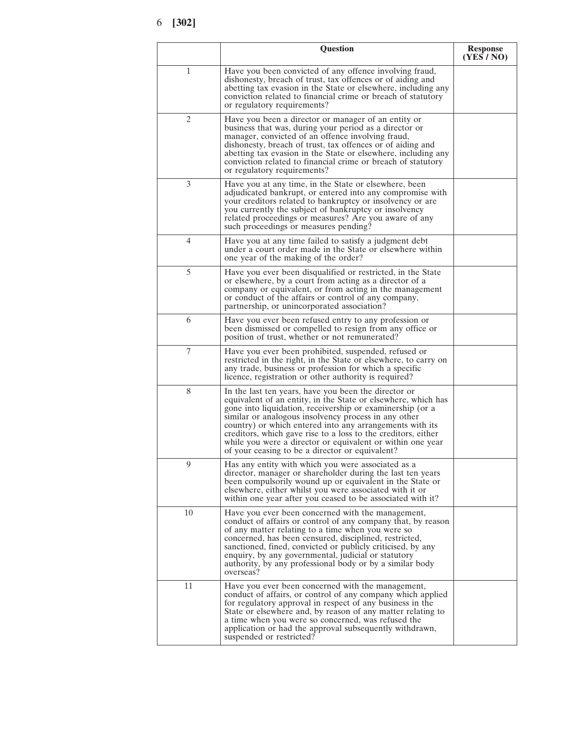|    | Question                                                                                                                                                                                                                                                                                                                                                                                                                                                                                 | <b>Response</b><br>(YES / NO) |
|----|------------------------------------------------------------------------------------------------------------------------------------------------------------------------------------------------------------------------------------------------------------------------------------------------------------------------------------------------------------------------------------------------------------------------------------------------------------------------------------------|-------------------------------|
| 1  | Have you been convicted of any offence involving fraud,<br>dishonesty, breach of trust, tax offences or of aiding and<br>abetting tax evasion in the State or elsewhere, including any<br>conviction related to financial crime or breach of statutory<br>or regulatory requirements?                                                                                                                                                                                                    |                               |
| 2  | Have you been a director or manager of an entity or<br>business that was, during your period as a director or<br>manager, convicted of an offence involving fraud,<br>dishonesty, breach of trust, tax offences or of aiding and<br>abetting tax evasion in the State or elsewhere, including any<br>conviction related to financial crime or breach of statutory<br>or regulatory requirements?                                                                                         |                               |
| 3  | Have you at any time, in the State or elsewhere, been<br>adjudicated bankrupt, or entered into any compromise with<br>your creditors related to bankruptcy or insolvency or are<br>you currently the subject of bankruptcy or insolvency<br>related proceedings or measures? Are you aware of any<br>such proceedings or measures pending?                                                                                                                                               |                               |
| 4  | Have you at any time failed to satisfy a judgment debt<br>under a court order made in the State or elsewhere within<br>one year of the making of the order?                                                                                                                                                                                                                                                                                                                              |                               |
| 5  | Have you ever been disqualified or restricted, in the State<br>or elsewhere, by a court from acting as a director of a<br>company or equivalent, or from acting in the management<br>or conduct of the affairs or control of any company,<br>partnership, or unincorporated association?                                                                                                                                                                                                 |                               |
| 6  | Have you ever been refused entry to any profession or<br>been dismissed or compelled to resign from any office or<br>position of trust, whether or not remunerated?                                                                                                                                                                                                                                                                                                                      |                               |
| 7  | Have you ever been prohibited, suspended, refused or<br>restricted in the right, in the State or elsewhere, to carry on<br>any trade, business or profession for which a specific<br>licence, registration or other authority is required?                                                                                                                                                                                                                                               |                               |
| 8  | In the last ten years, have you been the director or<br>equivalent of an entity, in the State or elsewhere, which has<br>gone into liquidation, receivership or examinership (or a<br>similar or analogous insolvency process in any other<br>country) or which entered into any arrangements with its<br>creditors, which gave rise to a loss to the creditors, either<br>while you were a director or equivalent or within one year<br>of your ceasing to be a director or equivalent? |                               |
| 9  | Has any entity with which you were associated as a<br>director, manager or shareholder during the last ten years<br>been compulsorily wound up or equivalent in the State or<br>elsewhere, either whilst you were associated with it or<br>within one year after you ceased to be associated with it?                                                                                                                                                                                    |                               |
| 10 | Have you ever been concerned with the management,<br>conduct of affairs or control of any company that, by reason<br>of any matter relating to a time when you were so<br>concerned, has been censured, disciplined, restricted,<br>sanctioned, fined, convicted or publicly criticised, by any<br>enquiry, by any governmental, judicial or statutory<br>authority, by any professional body or by a similar body<br>overseas?                                                          |                               |
| 11 | Have you ever been concerned with the management,<br>conduct of affairs, or control of any company which applied<br>for regulatory approval in respect of any business in the<br>State or elsewhere and, by reason of any matter relating to<br>a time when you were so concerned, was refused the<br>application or had the approval subsequently withdrawn,<br>suspended or restricted?                                                                                                |                               |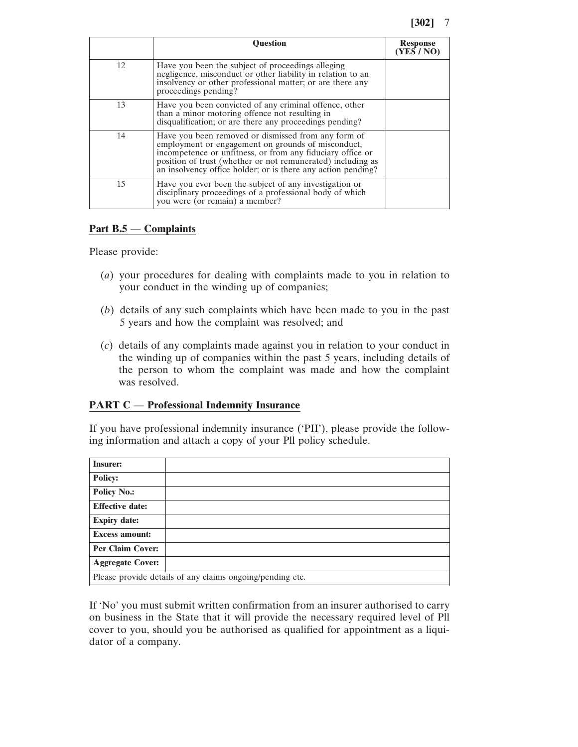|    | <b>Ouestion</b>                                                                                                                                                                                                                                                                                        | <b>Response</b><br>(YES / NO) |
|----|--------------------------------------------------------------------------------------------------------------------------------------------------------------------------------------------------------------------------------------------------------------------------------------------------------|-------------------------------|
| 12 | Have you been the subject of proceedings alleging<br>negligence, misconduct or other liability in relation to an<br>insolvency or other professional matter; or are there any<br>proceedings pending?                                                                                                  |                               |
| 13 | Have you been convicted of any criminal offence, other<br>than a minor motoring offence not resulting in<br>disqualification; or are there any proceedings pending?                                                                                                                                    |                               |
| 14 | Have you been removed or dismissed from any form of<br>employment or engagement on grounds of misconduct,<br>incompetence or unfitness, or from any fiduciary office or<br>position of trust (whether or not remunerated) including as<br>an insolvency office holder; or is there any action pending? |                               |
| 15 | Have you ever been the subject of any investigation or<br>disciplinary proceedings of a professional body of which<br>you were (or remain) a member?                                                                                                                                                   |                               |

# **Part B.5** — **Complaints**

Please provide:

- (*a*) your procedures for dealing with complaints made to you in relation to your conduct in the winding up of companies;
- (*b*) details of any such complaints which have been made to you in the past 5 years and how the complaint was resolved; and
- (*c*) details of any complaints made against you in relation to your conduct in the winding up of companies within the past 5 years, including details of the person to whom the complaint was made and how the complaint was resolved.

# **PART C** — **Professional Indemnity Insurance**

If you have professional indemnity insurance ('PII'), please provide the following information and attach a copy of your Pll policy schedule.

| <b>Insurer:</b>                                           |  |  |
|-----------------------------------------------------------|--|--|
| <b>Policy:</b>                                            |  |  |
| <b>Policy No.:</b>                                        |  |  |
| <b>Effective date:</b>                                    |  |  |
| <b>Expiry date:</b>                                       |  |  |
| <b>Excess amount:</b>                                     |  |  |
| <b>Per Claim Cover:</b>                                   |  |  |
| <b>Aggregate Cover:</b>                                   |  |  |
| Please provide details of any claims ongoing/pending etc. |  |  |

If 'No' you must submit written confirmation from an insurer authorised to carry on business in the State that it will provide the necessary required level of Pll cover to you, should you be authorised as qualified for appointment as a liquidator of a company.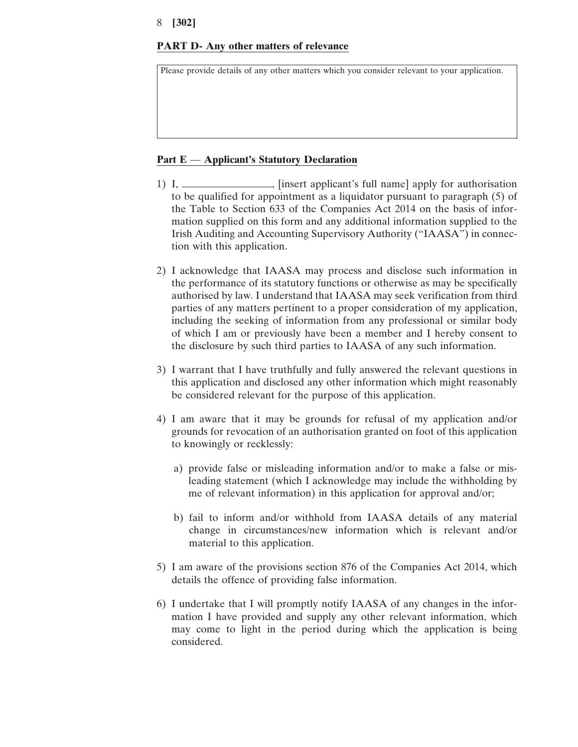# **PART D- Any other matters of relevance**

Please provide details of any other matters which you consider relevant to your application.

#### **Part E** — **Applicant's Statutory Declaration**

- 1) I, \_\_\_\_\_\_\_\_\_\_\_\_\_\_, [insert applicant's full name] apply for authorisation to be qualified for appointment as a liquidator pursuant to paragraph (5) of the Table to Section 633 of the Companies Act 2014 on the basis of information supplied on this form and any additional information supplied to the Irish Auditing and Accounting Supervisory Authority ("IAASA") in connection with this application.
- 2) I acknowledge that IAASA may process and disclose such information in the performance of its statutory functions or otherwise as may be specifically authorised by law. I understand that IAASA may seek verification from third parties of any matters pertinent to a proper consideration of my application, including the seeking of information from any professional or similar body of which I am or previously have been a member and I hereby consent to the disclosure by such third parties to IAASA of any such information.
- 3) I warrant that I have truthfully and fully answered the relevant questions in this application and disclosed any other information which might reasonably be considered relevant for the purpose of this application.
- 4) I am aware that it may be grounds for refusal of my application and/or grounds for revocation of an authorisation granted on foot of this application to knowingly or recklessly:
	- a) provide false or misleading information and/or to make a false or misleading statement (which I acknowledge may include the withholding by me of relevant information) in this application for approval and/or;
	- b) fail to inform and/or withhold from IAASA details of any material change in circumstances/new information which is relevant and/or material to this application.
- 5) I am aware of the provisions section 876 of the Companies Act 2014, which details the offence of providing false information.
- 6) I undertake that I will promptly notify IAASA of any changes in the information I have provided and supply any other relevant information, which may come to light in the period during which the application is being considered.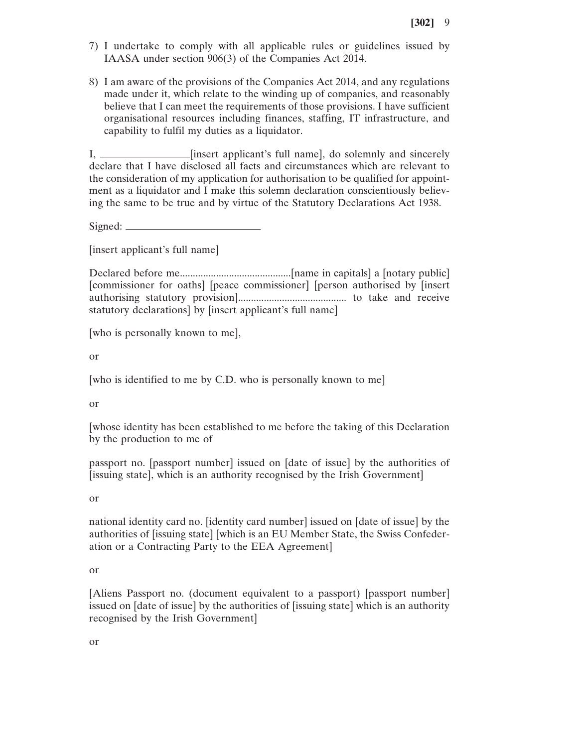- 7) I undertake to comply with all applicable rules or guidelines issued by IAASA under section 906(3) of the Companies Act 2014.
- 8) I am aware of the provisions of the Companies Act 2014, and any regulations made under it, which relate to the winding up of companies, and reasonably believe that I can meet the requirements of those provisions. I have sufficient organisational resources including finances, staffing, IT infrastructure, and capability to fulfil my duties as a liquidator.

I, \_\_\_\_\_\_\_\_\_\_\_\_\_\_\_\_\_\_\_\_[insert applicant's full name], do solemnly and sincerely declare that I have disclosed all facts and circumstances which are relevant to the consideration of my application for authorisation to be qualified for appointment as a liquidator and I make this solemn declaration conscientiously believing the same to be true and by virtue of the Statutory Declarations Act 1938.

Signed:  $\equiv$ 

[insert applicant's full name]

Declared before me...........................................[name in capitals] a [notary public] [commissioner for oaths] [peace commissioner] [person authorised by [insert authorising statutory provision].......................................... to take and receive statutory declarations] by [insert applicant's full name]

[who is personally known to me],

or

[who is identified to me by C.D. who is personally known to me]

or

[whose identity has been established to me before the taking of this Declaration by the production to me of

passport no. [passport number] issued on [date of issue] by the authorities of [issuing state], which is an authority recognised by the Irish Government]

or

national identity card no. [identity card number] issued on [date of issue] by the authorities of [issuing state] [which is an EU Member State, the Swiss Confederation or a Contracting Party to the EEA Agreement]

or

[Aliens Passport no. (document equivalent to a passport) [passport number] issued on [date of issue] by the authorities of [issuing state] which is an authority recognised by the Irish Government]

or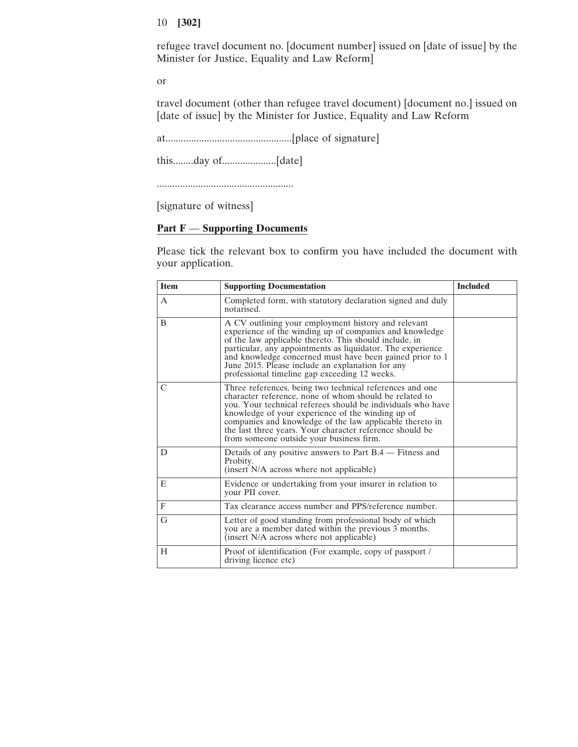refugee travel document no. [document number] issued on [date of issue] by the Minister for Justice, Equality and Law Reform]

or

travel document (other than refugee travel document) [document no.] issued on [date of issue] by the Minister for Justice, Equality and Law Reform

at.................................................[place of signature]

this........day of.....................[date]

.....................................................

[signature of witness]

# **Part F** — **Supporting Documents**

Please tick the relevant box to confirm you have included the document with your application.

| <b>Item</b>   | <b>Supporting Documentation</b>                                                                                                                                                                                                                                                                                                                                                                            | <b>Included</b> |
|---------------|------------------------------------------------------------------------------------------------------------------------------------------------------------------------------------------------------------------------------------------------------------------------------------------------------------------------------------------------------------------------------------------------------------|-----------------|
| $\mathsf{A}$  | Completed form, with statutory declaration signed and duly<br>notarised.                                                                                                                                                                                                                                                                                                                                   |                 |
| B             | A CV outlining your employment history and relevant<br>experience of the winding up of companies and knowledge<br>of the law applicable thereto. This should include, in<br>particular, any appointments as liquidator. The experience<br>and knowledge concerned must have been gained prior to 1<br>June 2015. Please include an explanation for any<br>professional timeline gap exceeding 12 weeks.    |                 |
| $\mathcal{C}$ | Three references, being two technical references and one<br>character reference, none of whom should be related to<br>you. Your technical referees should be individuals who have<br>knowledge of your experience of the winding up of<br>companies and knowledge of the law applicable thereto in<br>the last three years. Your character reference should be<br>from someone outside your business firm. |                 |
| D             | Details of any positive answers to Part B.4 — Fitness and<br>Probity.<br>(insert N/A across where not applicable)                                                                                                                                                                                                                                                                                          |                 |
| E             | Evidence or undertaking from your insurer in relation to<br>your PII cover.                                                                                                                                                                                                                                                                                                                                |                 |
| $\mathbf{F}$  | Tax clearance access number and PPS/reference number.                                                                                                                                                                                                                                                                                                                                                      |                 |
| G             | Letter of good standing from professional body of which<br>you are a member dated within the previous 3 months.<br>(insert N/A across where not applicable)                                                                                                                                                                                                                                                |                 |
| Н             | Proof of identification (For example, copy of passport /<br>driving licence etc)                                                                                                                                                                                                                                                                                                                           |                 |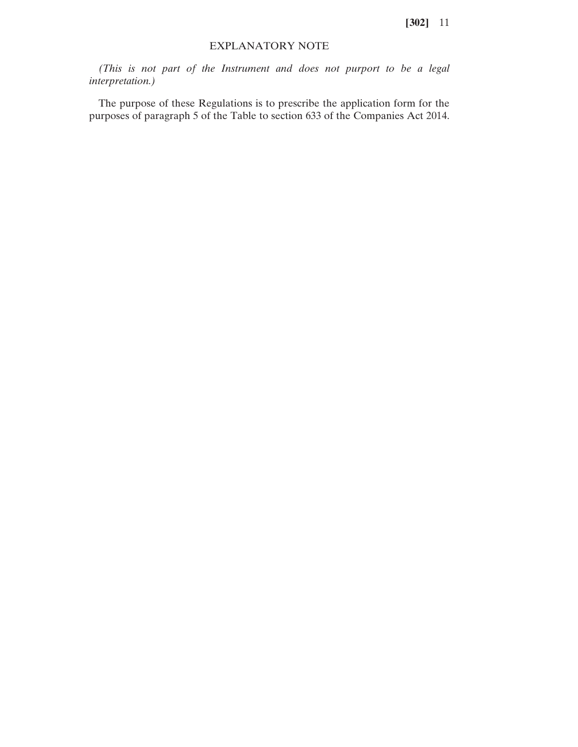#### EXPLANATORY NOTE

*(This is not part of the Instrument and does not purport to be a legal interpretation.)*

The purpose of these Regulations is to prescribe the application form for the purposes of paragraph 5 of the Table to section 633 of the Companies Act 2014.